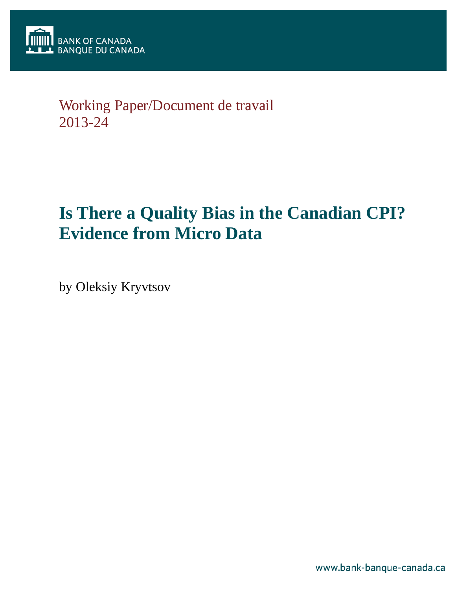

# Working Paper/Document de travail 2013-24

# **Is There a Quality Bias in the Canadian CPI? Evidence from Micro Data**

by Oleksiy Kryvtsov

www.bank-banque-canada.ca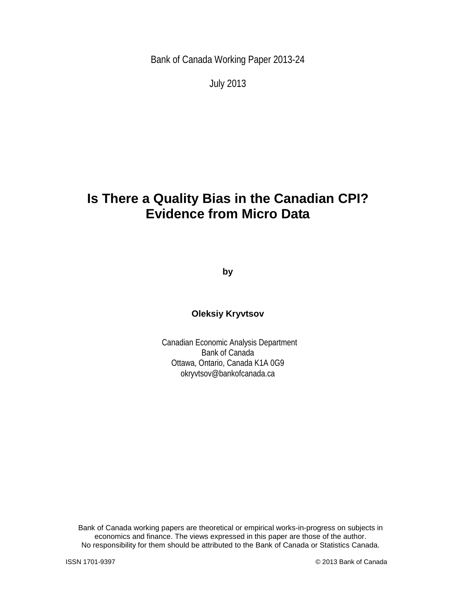Bank of Canada Working Paper 2013-24

July 2013

# **Is There a Quality Bias in the Canadian CPI? Evidence from Micro Data**

**by**

### **Oleksiy Kryvtsov**

Canadian Economic Analysis Department Bank of Canada Ottawa, Ontario, Canada K1A 0G9 okryvtsov@bankofcanada.ca

Bank of Canada working papers are theoretical or empirical works-in-progress on subjects in economics and finance. The views expressed in this paper are those of the author. No responsibility for them should be attributed to the Bank of Canada or Statistics Canada.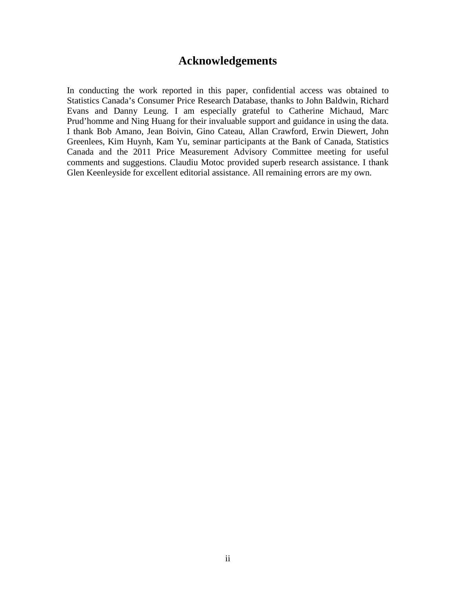### **Acknowledgements**

In conducting the work reported in this paper, confidential access was obtained to Statistics Canada's Consumer Price Research Database, thanks to John Baldwin, Richard Evans and Danny Leung. I am especially grateful to Catherine Michaud, Marc Prud'homme and Ning Huang for their invaluable support and guidance in using the data. I thank Bob Amano, Jean Boivin, Gino Cateau, Allan Crawford, Erwin Diewert, John Greenlees, Kim Huynh, Kam Yu, seminar participants at the Bank of Canada, Statistics Canada and the 2011 Price Measurement Advisory Committee meeting for useful comments and suggestions. Claudiu Motoc provided superb research assistance. I thank Glen Keenleyside for excellent editorial assistance. All remaining errors are my own.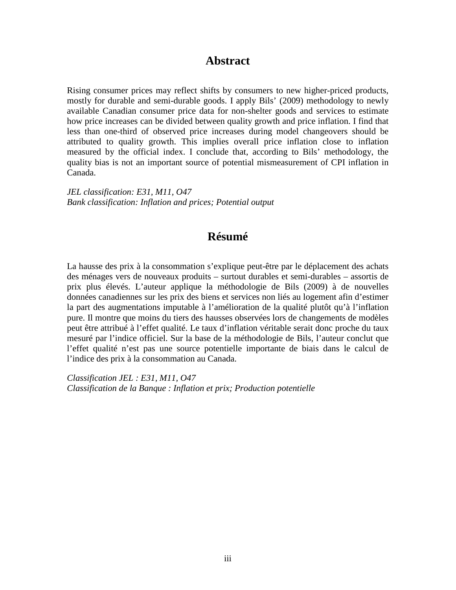### **Abstract**

Rising consumer prices may reflect shifts by consumers to new higher-priced products, mostly for durable and semi-durable goods. I apply Bils' (2009) methodology to newly available Canadian consumer price data for non-shelter goods and services to estimate how price increases can be divided between quality growth and price inflation. I find that less than one-third of observed price increases during model changeovers should be attributed to quality growth. This implies overall price inflation close to inflation measured by the official index. I conclude that, according to Bils' methodology, the quality bias is not an important source of potential mismeasurement of CPI inflation in Canada.

*JEL classification: E31, M11, O47 Bank classification: Inflation and prices; Potential output*

## **Résumé**

La hausse des prix à la consommation s'explique peut-être par le déplacement des achats des ménages vers de nouveaux produits – surtout durables et semi-durables – assortis de prix plus élevés. L'auteur applique la méthodologie de Bils (2009) à de nouvelles données canadiennes sur les prix des biens et services non liés au logement afin d'estimer la part des augmentations imputable à l'amélioration de la qualité plutôt qu'à l'inflation pure. Il montre que moins du tiers des hausses observées lors de changements de modèles peut être attribué à l'effet qualité. Le taux d'inflation véritable serait donc proche du taux mesuré par l'indice officiel. Sur la base de la méthodologie de Bils, l'auteur conclut que l'effet qualité n'est pas une source potentielle importante de biais dans le calcul de l'indice des prix à la consommation au Canada.

*Classification JEL : E31, M11, O47 Classification de la Banque : Inflation et prix; Production potentielle*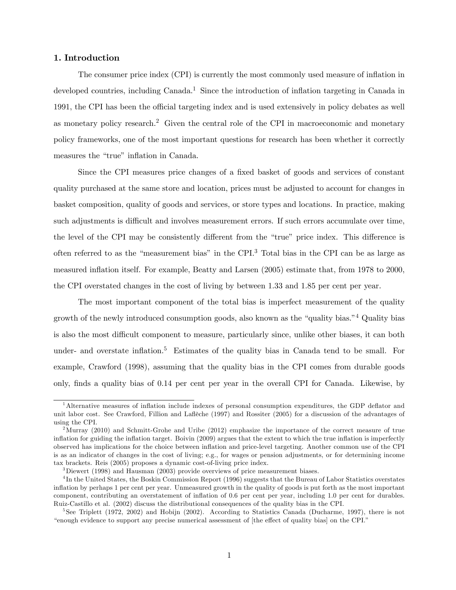#### 1. Introduction

The consumer price index (CPI) is currently the most commonly used measure of ináation in developed countries, including  $Canada<sup>1</sup>$ . Since the introduction of inflation targeting in Canada in 1991, the CPI has been the official targeting index and is used extensively in policy debates as well as monetary policy research.<sup>2</sup> Given the central role of the CPI in macroeconomic and monetary policy frameworks, one of the most important questions for research has been whether it correctly measures the "true" inflation in Canada.

Since the CPI measures price changes of a fixed basket of goods and services of constant quality purchased at the same store and location, prices must be adjusted to account for changes in basket composition, quality of goods and services, or store types and locations. In practice, making such adjustments is difficult and involves measurement errors. If such errors accumulate over time, the level of the CPI may be consistently different from the "true" price index. This difference is often referred to as the "measurement bias" in the CPI. $3$  Total bias in the CPI can be as large as measured inflation itself. For example, Beatty and Larsen (2005) estimate that, from 1978 to 2000, the CPI overstated changes in the cost of living by between 1.33 and 1.85 per cent per year.

The most important component of the total bias is imperfect measurement of the quality growth of the newly introduced consumption goods, also known as the "quality bias.<sup>"4</sup> Quality bias" is also the most difficult component to measure, particularly since, unlike other biases, it can both under- and overstate inflation.<sup>5</sup> Estimates of the quality bias in Canada tend to be small. For example, Crawford (1998), assuming that the quality bias in the CPI comes from durable goods only, Önds a quality bias of 0.14 per cent per year in the overall CPI for Canada. Likewise, by

 $1$ Alternative measures of inflation include indexes of personal consumption expenditures, the GDP deflator and unit labor cost. See Crawford, Fillion and Laflèche (1997) and Rossiter (2005) for a discussion of the advantages of using the CPI.

<sup>&</sup>lt;sup>2</sup>Murray (2010) and Schmitt-Grohe and Uribe (2012) emphasize the importance of the correct measure of true inflation for guiding the inflation target. Boivin (2009) argues that the extent to which the true inflation is imperfectly observed has implications for the choice between ináation and price-level targeting. Another common use of the CPI is as an indicator of changes in the cost of living; e.g., for wages or pension adjustments, or for determining income tax brackets. Reis (2005) proposes a dynamic cost-of-living price index.

<sup>&</sup>lt;sup>3</sup>Diewert (1998) and Hausman (2003) provide overviews of price measurement biases.

<sup>&</sup>lt;sup>4</sup>In the United States, the Boskin Commission Report (1996) suggests that the Bureau of Labor Statistics overstates ináation by perhaps 1 per cent per year. Unmeasured growth in the quality of goods is put forth as the most important component, contributing an overstatement of ináation of 0.6 per cent per year, including 1.0 per cent for durables. Ruiz-Castillo et al. (2002) discuss the distributional consequences of the quality bias in the CPI.

<sup>5</sup> See Triplett (1972, 2002) and Hobijn (2002). According to Statistics Canada (Ducharme, 1997), there is not "enough evidence to support any precise numerical assessment of [the effect of quality bias] on the CPI."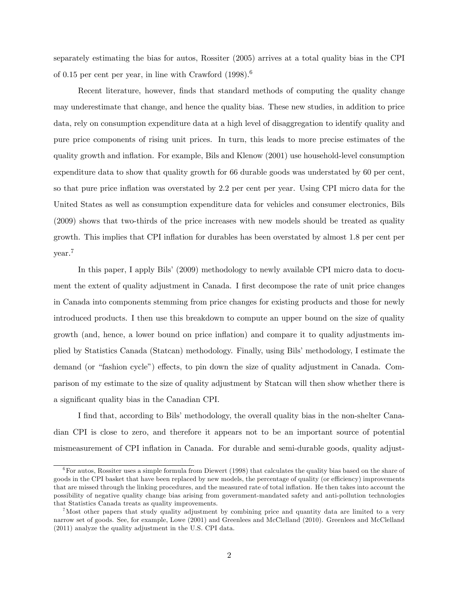separately estimating the bias for autos, Rossiter (2005) arrives at a total quality bias in the CPI of 0.15 per cent per year, in line with Crawford  $(1998)^6$ 

Recent literature, however, finds that standard methods of computing the quality change may underestimate that change, and hence the quality bias. These new studies, in addition to price data, rely on consumption expenditure data at a high level of disaggregation to identify quality and pure price components of rising unit prices. In turn, this leads to more precise estimates of the quality growth and ináation. For example, Bils and Klenow (2001) use household-level consumption expenditure data to show that quality growth for 66 durable goods was understated by 60 per cent, so that pure price inflation was overstated by 2.2 per cent per year. Using CPI micro data for the United States as well as consumption expenditure data for vehicles and consumer electronics, Bils (2009) shows that two-thirds of the price increases with new models should be treated as quality growth. This implies that CPI inflation for durables has been overstated by almost 1.8 per cent per year.<sup>7</sup>

In this paper, I apply Bils' (2009) methodology to newly available CPI micro data to document the extent of quality adjustment in Canada. I first decompose the rate of unit price changes in Canada into components stemming from price changes for existing products and those for newly introduced products. I then use this breakdown to compute an upper bound on the size of quality growth (and, hence, a lower bound on price ináation) and compare it to quality adjustments implied by Statistics Canada (Statcan) methodology. Finally, using Bils' methodology, I estimate the demand (or "fashion cycle") effects, to pin down the size of quality adjustment in Canada. Comparison of my estimate to the size of quality adjustment by Statcan will then show whether there is a significant quality bias in the Canadian CPI.

I find that, according to Bils' methodology, the overall quality bias in the non-shelter Canadian CPI is close to zero, and therefore it appears not to be an important source of potential mismeasurement of CPI inflation in Canada. For durable and semi-durable goods, quality adjust-

 $6$ For autos, Rossiter uses a simple formula from Diewert (1998) that calculates the quality bias based on the share of goods in the CPI basket that have been replaced by new models, the percentage of quality (or efficiency) improvements that are missed through the linking procedures, and the measured rate of total inflation. He then takes into account the possibility of negative quality change bias arising from government-mandated safety and anti-pollution technologies that Statistics Canada treats as quality improvements.

<sup>&</sup>lt;sup>7</sup>Most other papers that study quality adjustment by combining price and quantity data are limited to a very narrow set of goods. See, for example, Lowe (2001) and Greenlees and McClelland (2010). Greenlees and McClelland (2011) analyze the quality adjustment in the U.S. CPI data.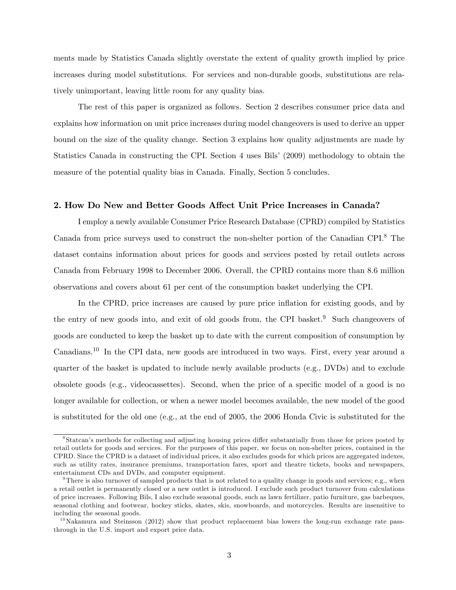ments made by Statistics Canada slightly overstate the extent of quality growth implied by price increases during model substitutions. For services and non-durable goods, substitutions are relatively unimportant, leaving little room for any quality bias.

The rest of this paper is organized as follows. Section 2 describes consumer price data and explains how information on unit price increases during model changeovers is used to derive an upper bound on the size of the quality change. Section 3 explains how quality adjustments are made by Statistics Canada in constructing the CPI. Section 4 uses Bils' (2009) methodology to obtain the measure of the potential quality bias in Canada. Finally, Section 5 concludes.

#### 2. How Do New and Better Goods Affect Unit Price Increases in Canada?

I employ a newly available Consumer Price Research Database (CPRD) compiled by Statistics Canada from price surveys used to construct the non-shelter portion of the Canadian CPI.<sup>8</sup> The dataset contains information about prices for goods and services posted by retail outlets across Canada from February 1998 to December 2006. Overall, the CPRD contains more than 8.6 million observations and covers about 61 per cent of the consumption basket underlying the CPI.

In the CPRD, price increases are caused by pure price inflation for existing goods, and by the entry of new goods into, and exit of old goods from, the CPI basket.<sup>9</sup> Such changeovers of goods are conducted to keep the basket up to date with the current composition of consumption by Canadians.<sup>10</sup> In the CPI data, new goods are introduced in two ways. First, every year around a quarter of the basket is updated to include newly available products (e.g., DVDs) and to exclude obsolete goods (e.g., videocassettes). Second, when the price of a specific model of a good is no longer available for collection, or when a newer model becomes available, the new model of the good is substituted for the old one (e.g., at the end of 2005, the 2006 Honda Civic is substituted for the

<sup>&</sup>lt;sup>8</sup>Statcan's methods for collecting and adjusting housing prices differ substantially from those for prices posted by retail outlets for goods and services. For the purposes of this paper, we focus on non-shelter prices, contained in the CPRD. Since the CPRD is a dataset of individual prices, it also excludes goods for which prices are aggregated indexes, such as utility rates, insurance premiums, transportation fares, sport and theatre tickets, books and newspapers, entertainment CDs and DVDs, and computer equipment.

<sup>&</sup>lt;sup>9</sup>There is also turnover of sampled products that is not related to a quality change in goods and services; e.g., when a retail outlet is permanently closed or a new outlet is introduced. I exclude such product turnover from calculations of price increases. Following Bils, I also exclude seasonal goods, such as lawn fertilizer, patio furniture, gas barbeques, seasonal clothing and footwear, hockey sticks, skates, skis, snowboards, and motorcycles. Results are insensitive to including the seasonal goods.

 $10$ Nakamura and Steinsson (2012) show that product replacement bias lowers the long-run exchange rate passthrough in the U.S. import and export price data.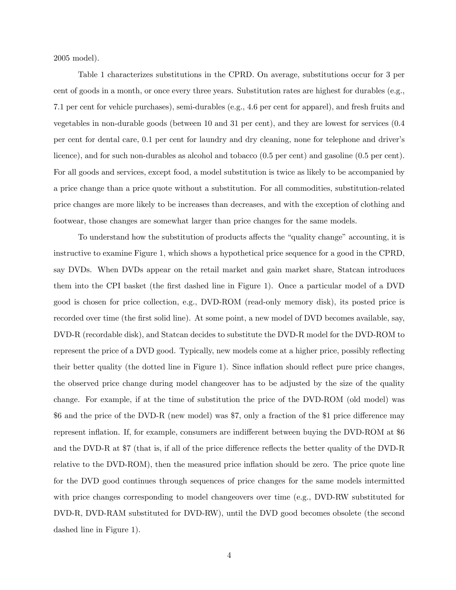2005 model).

Table 1 characterizes substitutions in the CPRD. On average, substitutions occur for 3 per cent of goods in a month, or once every three years. Substitution rates are highest for durables (e.g., 7.1 per cent for vehicle purchases), semi-durables (e.g., 4.6 per cent for apparel), and fresh fruits and vegetables in non-durable goods (between 10 and 31 per cent), and they are lowest for services (0.4 per cent for dental care, 0.1 per cent for laundry and dry cleaning, none for telephone and driverís licence), and for such non-durables as alcohol and tobacco (0.5 per cent) and gasoline (0.5 per cent). For all goods and services, except food, a model substitution is twice as likely to be accompanied by a price change than a price quote without a substitution. For all commodities, substitution-related price changes are more likely to be increases than decreases, and with the exception of clothing and footwear, those changes are somewhat larger than price changes for the same models.

To understand how the substitution of products affects the "quality change" accounting, it is instructive to examine Figure 1, which shows a hypothetical price sequence for a good in the CPRD, say DVDs. When DVDs appear on the retail market and gain market share, Statcan introduces them into the CPI basket (the first dashed line in Figure 1). Once a particular model of a DVD good is chosen for price collection, e.g., DVD-ROM (read-only memory disk), its posted price is recorded over time (the first solid line). At some point, a new model of DVD becomes available, say, DVD-R (recordable disk), and Statcan decides to substitute the DVD-R model for the DVD-ROM to represent the price of a DVD good. Typically, new models come at a higher price, possibly reflecting their better quality (the dotted line in Figure 1). Since inflation should reflect pure price changes, the observed price change during model changeover has to be adjusted by the size of the quality change. For example, if at the time of substitution the price of the DVD-ROM (old model) was \$6 and the price of the DVD-R (new model) was \$7, only a fraction of the \$1 price difference may represent inflation. If, for example, consumers are indifferent between buying the DVD-ROM at \$6 and the DVD-R at  $\sqrt[3]{2}$  (that is, if all of the price difference reflects the better quality of the DVD-R relative to the DVD-ROM), then the measured price inflation should be zero. The price quote line for the DVD good continues through sequences of price changes for the same models intermitted with price changes corresponding to model changeovers over time (e.g., DVD-RW substituted for DVD-R, DVD-RAM substituted for DVD-RW), until the DVD good becomes obsolete (the second dashed line in Figure 1).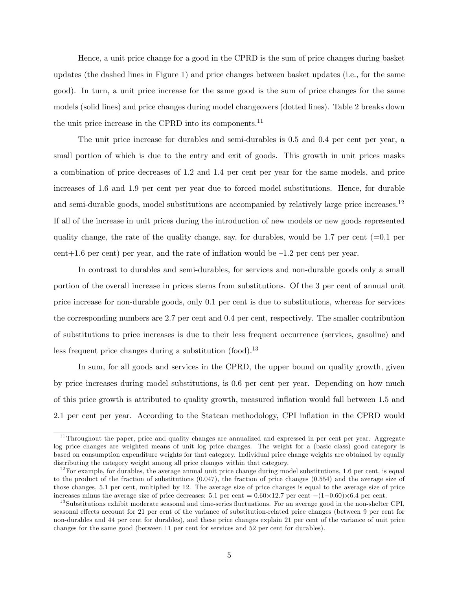Hence, a unit price change for a good in the CPRD is the sum of price changes during basket updates (the dashed lines in Figure 1) and price changes between basket updates (i.e., for the same good). In turn, a unit price increase for the same good is the sum of price changes for the same models (solid lines) and price changes during model changeovers (dotted lines). Table 2 breaks down the unit price increase in the CPRD into its components.<sup>11</sup>

The unit price increase for durables and semi-durables is 0.5 and 0.4 per cent per year, a small portion of which is due to the entry and exit of goods. This growth in unit prices masks a combination of price decreases of 1.2 and 1.4 per cent per year for the same models, and price increases of 1.6 and 1.9 per cent per year due to forced model substitutions. Hence, for durable and semi-durable goods, model substitutions are accompanied by relatively large price increases.<sup>12</sup> If all of the increase in unit prices during the introduction of new models or new goods represented quality change, the rate of the quality change, say, for durables, would be 1.7 per cent  $(=0.1$  per cent+1.6 per cent) per year, and the rate of inflation would be  $-1.2$  per cent per year.

In contrast to durables and semi-durables, for services and non-durable goods only a small portion of the overall increase in prices stems from substitutions. Of the 3 per cent of annual unit price increase for non-durable goods, only 0.1 per cent is due to substitutions, whereas for services the corresponding numbers are 2.7 per cent and 0.4 per cent, respectively. The smaller contribution of substitutions to price increases is due to their less frequent occurrence (services, gasoline) and less frequent price changes during a substitution  $(food).<sup>13</sup>$ 

In sum, for all goods and services in the CPRD, the upper bound on quality growth, given by price increases during model substitutions, is 0.6 per cent per year. Depending on how much of this price growth is attributed to quality growth, measured ináation would fall between 1.5 and 2.1 per cent per year. According to the Statcan methodology, CPI inflation in the CPRD would

<sup>&</sup>lt;sup>11</sup>Throughout the paper, price and quality changes are annualized and expressed in per cent per year. Aggregate log price changes are weighted means of unit log price changes. The weight for a (basic class) good category is based on consumption expenditure weights for that category. Individual price change weights are obtained by equally distributing the category weight among all price changes within that category.

 $12$  For example, for durables, the average annual unit price change during model substitutions, 1.6 per cent, is equal to the product of the fraction of substitutions (0.047), the fraction of price changes (0.554) and the average size of those changes, 5.1 per cent, multiplied by 12. The average size of price changes is equal to the average size of price increases minus the average size of price decreases: 5.1 per cent =  $0.60 \times 12.7$  per cent  $-(1-0.60) \times 6.4$  per cent.

<sup>&</sup>lt;sup>13</sup>Substitutions exhibit moderate seasonal and time-series fluctuations. For an average good in the non-shelter CPI, seasonal effects account for 21 per cent of the variance of substitution-related price changes (between 9 per cent for non-durables and 44 per cent for durables), and these price changes explain 21 per cent of the variance of unit price changes for the same good (between 11 per cent for services and 52 per cent for durables).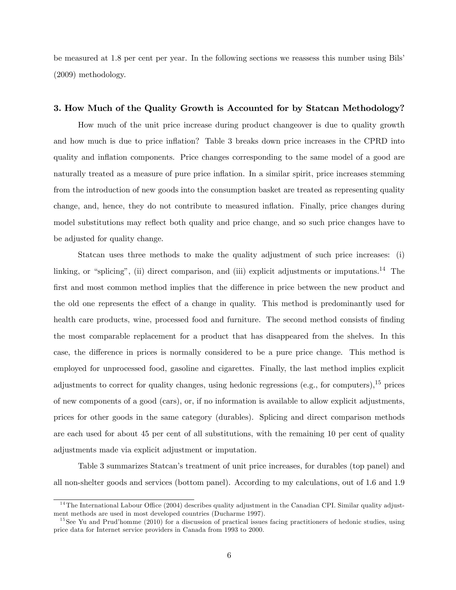be measured at 1.8 per cent per year. In the following sections we reassess this number using Bils' (2009) methodology.

#### 3. How Much of the Quality Growth is Accounted for by Statcan Methodology?

How much of the unit price increase during product changeover is due to quality growth and how much is due to price inflation? Table 3 breaks down price increases in the CPRD into quality and ináation components. Price changes corresponding to the same model of a good are naturally treated as a measure of pure price inflation. In a similar spirit, price increases stemming from the introduction of new goods into the consumption basket are treated as representing quality change, and, hence, they do not contribute to measured inflation. Finally, price changes during model substitutions may reflect both quality and price change, and so such price changes have to be adjusted for quality change.

Statcan uses three methods to make the quality adjustment of such price increases: (i) linking, or "splicing", (ii) direct comparison, and (iii) explicit adjustments or imputations.<sup>14</sup> The first and most common method implies that the difference in price between the new product and the old one represents the effect of a change in quality. This method is predominantly used for health care products, wine, processed food and furniture. The second method consists of finding the most comparable replacement for a product that has disappeared from the shelves. In this case, the difference in prices is normally considered to be a pure price change. This method is employed for unprocessed food, gasoline and cigarettes. Finally, the last method implies explicit adjustments to correct for quality changes, using hedonic regressions (e.g., for computers),  $^{15}$  prices of new components of a good (cars), or, if no information is available to allow explicit adjustments, prices for other goods in the same category (durables). Splicing and direct comparison methods are each used for about 45 per cent of all substitutions, with the remaining 10 per cent of quality adjustments made via explicit adjustment or imputation.

Table 3 summarizes Statcan's treatment of unit price increases, for durables (top panel) and all non-shelter goods and services (bottom panel). According to my calculations, out of 1.6 and 1.9

 $14$ The International Labour Office (2004) describes quality adjustment in the Canadian CPI. Similar quality adjustment methods are used in most developed countries (Ducharme 1997).

<sup>&</sup>lt;sup>15</sup>See Yu and Prud'homme (2010) for a discussion of practical issues facing practitioners of hedonic studies, using price data for Internet service providers in Canada from 1993 to 2000.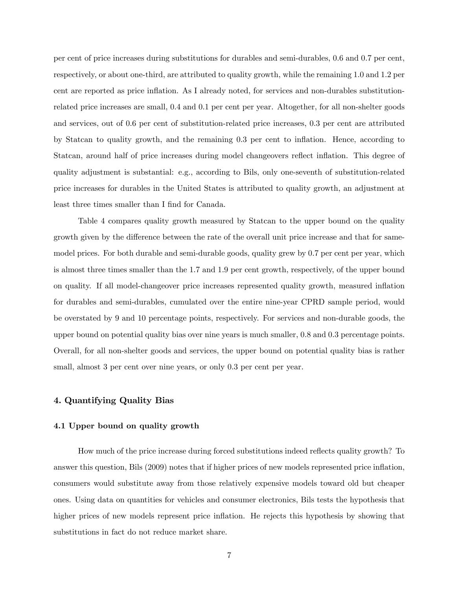per cent of price increases during substitutions for durables and semi-durables, 0.6 and 0.7 per cent, respectively, or about one-third, are attributed to quality growth, while the remaining 1.0 and 1.2 per cent are reported as price inflation. As I already noted, for services and non-durables substitutionrelated price increases are small, 0.4 and 0.1 per cent per year. Altogether, for all non-shelter goods and services, out of 0.6 per cent of substitution-related price increases, 0.3 per cent are attributed by Statcan to quality growth, and the remaining 0.3 per cent to ináation. Hence, according to Statcan, around half of price increases during model changeovers reflect inflation. This degree of quality adjustment is substantial: e.g., according to Bils, only one-seventh of substitution-related price increases for durables in the United States is attributed to quality growth, an adjustment at least three times smaller than I find for Canada.

Table 4 compares quality growth measured by Statcan to the upper bound on the quality growth given by the difference between the rate of the overall unit price increase and that for samemodel prices. For both durable and semi-durable goods, quality grew by 0.7 per cent per year, which is almost three times smaller than the 1.7 and 1.9 per cent growth, respectively, of the upper bound on quality. If all model-changeover price increases represented quality growth, measured ináation for durables and semi-durables, cumulated over the entire nine-year CPRD sample period, would be overstated by 9 and 10 percentage points, respectively. For services and non-durable goods, the upper bound on potential quality bias over nine years is much smaller, 0.8 and 0.3 percentage points. Overall, for all non-shelter goods and services, the upper bound on potential quality bias is rather small, almost 3 per cent over nine years, or only 0.3 per cent per year.

#### 4. Quantifying Quality Bias

#### 4.1 Upper bound on quality growth

How much of the price increase during forced substitutions indeed reflects quality growth? To answer this question, Bils (2009) notes that if higher prices of new models represented price ináation, consumers would substitute away from those relatively expensive models toward old but cheaper ones. Using data on quantities for vehicles and consumer electronics, Bils tests the hypothesis that higher prices of new models represent price inflation. He rejects this hypothesis by showing that substitutions in fact do not reduce market share.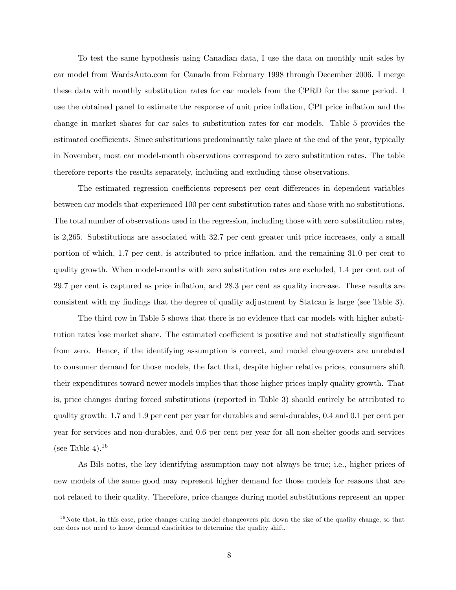To test the same hypothesis using Canadian data, I use the data on monthly unit sales by car model from WardsAuto.com for Canada from February 1998 through December 2006. I merge these data with monthly substitution rates for car models from the CPRD for the same period. I use the obtained panel to estimate the response of unit price inflation, CPI price inflation and the change in market shares for car sales to substitution rates for car models. Table 5 provides the estimated coefficients. Since substitutions predominantly take place at the end of the year, typically in November, most car model-month observations correspond to zero substitution rates. The table therefore reports the results separately, including and excluding those observations.

The estimated regression coefficients represent per cent differences in dependent variables between car models that experienced 100 per cent substitution rates and those with no substitutions. The total number of observations used in the regression, including those with zero substitution rates, is 2,265. Substitutions are associated with 32.7 per cent greater unit price increases, only a small portion of which, 1.7 per cent, is attributed to price inflation, and the remaining 31.0 per cent to quality growth. When model-months with zero substitution rates are excluded, 1.4 per cent out of 29.7 per cent is captured as price ináation, and 28.3 per cent as quality increase. These results are consistent with my findings that the degree of quality adjustment by Statcan is large (see Table 3).

The third row in Table 5 shows that there is no evidence that car models with higher substitution rates lose market share. The estimated coefficient is positive and not statistically significant from zero. Hence, if the identifying assumption is correct, and model changeovers are unrelated to consumer demand for those models, the fact that, despite higher relative prices, consumers shift their expenditures toward newer models implies that those higher prices imply quality growth. That is, price changes during forced substitutions (reported in Table 3) should entirely be attributed to quality growth: 1.7 and 1.9 per cent per year for durables and semi-durables, 0.4 and 0.1 per cent per year for services and non-durables, and 0.6 per cent per year for all non-shelter goods and services (see Table 4).<sup>16</sup>

As Bils notes, the key identifying assumption may not always be true; i.e., higher prices of new models of the same good may represent higher demand for those models for reasons that are not related to their quality. Therefore, price changes during model substitutions represent an upper

 $16$ Note that, in this case, price changes during model changeovers pin down the size of the quality change, so that one does not need to know demand elasticities to determine the quality shift.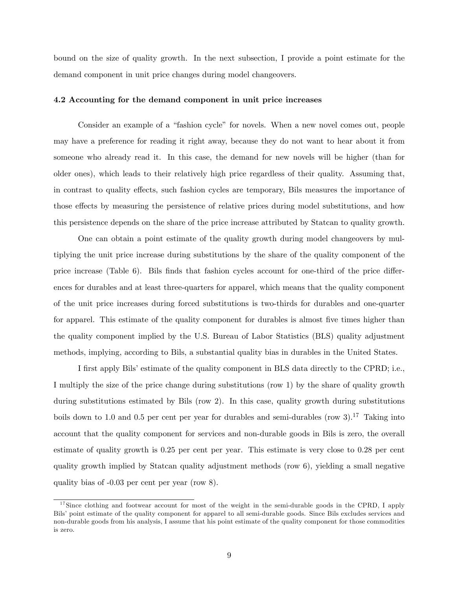bound on the size of quality growth. In the next subsection, I provide a point estimate for the demand component in unit price changes during model changeovers.

#### 4.2 Accounting for the demand component in unit price increases

Consider an example of a "fashion cycle" for novels. When a new novel comes out, people may have a preference for reading it right away, because they do not want to hear about it from someone who already read it. In this case, the demand for new novels will be higher (than for older ones), which leads to their relatively high price regardless of their quality. Assuming that, in contrast to quality effects, such fashion cycles are temporary, Bils measures the importance of those effects by measuring the persistence of relative prices during model substitutions, and how this persistence depends on the share of the price increase attributed by Statcan to quality growth.

One can obtain a point estimate of the quality growth during model changeovers by multiplying the unit price increase during substitutions by the share of the quality component of the price increase (Table 6). Bils finds that fashion cycles account for one-third of the price differences for durables and at least three-quarters for apparel, which means that the quality component of the unit price increases during forced substitutions is two-thirds for durables and one-quarter for apparel. This estimate of the quality component for durables is almost five times higher than the quality component implied by the U.S. Bureau of Labor Statistics (BLS) quality adjustment methods, implying, according to Bils, a substantial quality bias in durables in the United States.

I first apply Bils' estimate of the quality component in BLS data directly to the CPRD; i.e., I multiply the size of the price change during substitutions (row 1) by the share of quality growth during substitutions estimated by Bils (row 2). In this case, quality growth during substitutions boils down to 1.0 and 0.5 per cent per year for durables and semi-durables (row  $3$ ).<sup>17</sup> Taking into account that the quality component for services and non-durable goods in Bils is zero, the overall estimate of quality growth is 0.25 per cent per year. This estimate is very close to 0.28 per cent quality growth implied by Statcan quality adjustment methods (row 6), yielding a small negative quality bias of -0.03 per cent per year (row 8).

<sup>&</sup>lt;sup>17</sup>Since clothing and footwear account for most of the weight in the semi-durable goods in the CPRD, I apply Bils' point estimate of the quality component for apparel to all semi-durable goods. Since Bils excludes services and non-durable goods from his analysis, I assume that his point estimate of the quality component for those commodities is zero.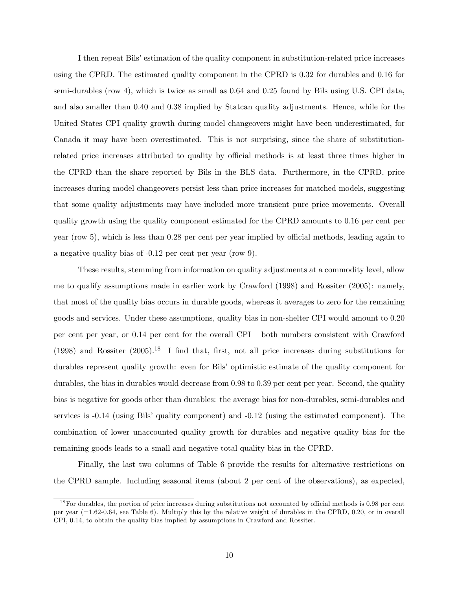I then repeat Bils' estimation of the quality component in substitution-related price increases using the CPRD. The estimated quality component in the CPRD is 0.32 for durables and 0.16 for semi-durables (row 4), which is twice as small as 0.64 and 0.25 found by Bils using U.S. CPI data, and also smaller than 0.40 and 0.38 implied by Statcan quality adjustments. Hence, while for the United States CPI quality growth during model changeovers might have been underestimated, for Canada it may have been overestimated. This is not surprising, since the share of substitutionrelated price increases attributed to quality by official methods is at least three times higher in the CPRD than the share reported by Bils in the BLS data. Furthermore, in the CPRD, price increases during model changeovers persist less than price increases for matched models, suggesting that some quality adjustments may have included more transient pure price movements. Overall quality growth using the quality component estimated for the CPRD amounts to 0.16 per cent per year (row 5), which is less than  $0.28$  per cent per year implied by official methods, leading again to a negative quality bias of -0.12 per cent per year (row 9).

These results, stemming from information on quality adjustments at a commodity level, allow me to qualify assumptions made in earlier work by Crawford (1998) and Rossiter (2005): namely, that most of the quality bias occurs in durable goods, whereas it averages to zero for the remaining goods and services. Under these assumptions, quality bias in non-shelter CPI would amount to 0.20 per cent per year, or  $0.14$  per cent for the overall CPI – both numbers consistent with Crawford (1998) and Rossiter  $(2005)$ .<sup>18</sup> I find that, first, not all price increases during substitutions for durables represent quality growth: even for Bils' optimistic estimate of the quality component for durables, the bias in durables would decrease from 0.98 to 0.39 per cent per year. Second, the quality bias is negative for goods other than durables: the average bias for non-durables, semi-durables and services is  $-0.14$  (using Bils' quality component) and  $-0.12$  (using the estimated component). The combination of lower unaccounted quality growth for durables and negative quality bias for the remaining goods leads to a small and negative total quality bias in the CPRD.

Finally, the last two columns of Table 6 provide the results for alternative restrictions on the CPRD sample. Including seasonal items (about 2 per cent of the observations), as expected,

 $18$ For durables, the portion of price increases during substitutions not accounted by official methods is 0.98 per cent per year (=1.62-0.64, see Table 6). Multiply this by the relative weight of durables in the CPRD, 0.20, or in overall CPI, 0.14, to obtain the quality bias implied by assumptions in Crawford and Rossiter.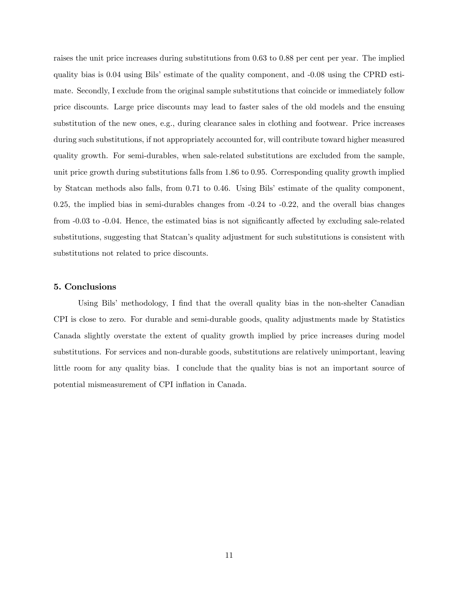raises the unit price increases during substitutions from 0.63 to 0.88 per cent per year. The implied quality bias is  $0.04$  using Bils' estimate of the quality component, and  $-0.08$  using the CPRD estimate. Secondly, I exclude from the original sample substitutions that coincide or immediately follow price discounts. Large price discounts may lead to faster sales of the old models and the ensuing substitution of the new ones, e.g., during clearance sales in clothing and footwear. Price increases during such substitutions, if not appropriately accounted for, will contribute toward higher measured quality growth. For semi-durables, when sale-related substitutions are excluded from the sample, unit price growth during substitutions falls from 1.86 to 0.95. Corresponding quality growth implied by Statcan methods also falls, from 0.71 to 0.46. Using Bils' estimate of the quality component, 0.25, the implied bias in semi-durables changes from -0.24 to -0.22, and the overall bias changes from  $-0.03$  to  $-0.04$ . Hence, the estimated bias is not significantly affected by excluding sale-related substitutions, suggesting that Statcan's quality adjustment for such substitutions is consistent with substitutions not related to price discounts.

#### 5. Conclusions

Using Bils' methodology, I find that the overall quality bias in the non-shelter Canadian CPI is close to zero. For durable and semi-durable goods, quality adjustments made by Statistics Canada slightly overstate the extent of quality growth implied by price increases during model substitutions. For services and non-durable goods, substitutions are relatively unimportant, leaving little room for any quality bias. I conclude that the quality bias is not an important source of potential mismeasurement of CPI inflation in Canada.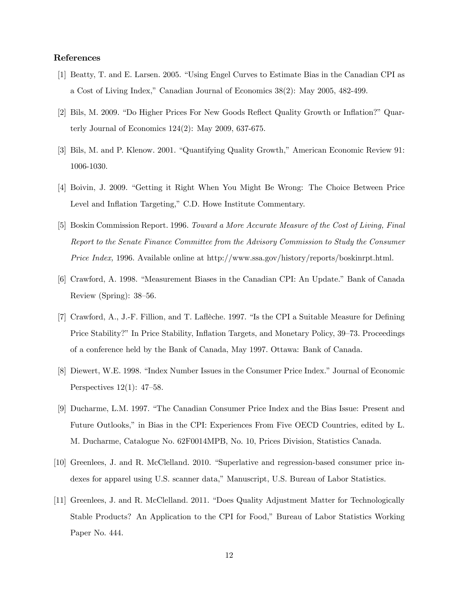#### References

- [1] Beatty, T. and E. Larsen. 2005. "Using Engel Curves to Estimate Bias in the Canadian CPI as a Cost of Living Index," Canadian Journal of Economics 38(2): May 2005, 482-499.
- [2] Bils, M. 2009. "Do Higher Prices For New Goods Reflect Quality Growth or Inflation?" Quarterly Journal of Economics 124(2): May 2009, 637-675.
- [3] Bils, M. and P. Klenow. 2001. "Quantifying Quality Growth," American Economic Review 91: 1006-1030.
- [4] Boivin, J. 2009. "Getting it Right When You Might Be Wrong: The Choice Between Price Level and Inflation Targeting," C.D. Howe Institute Commentary.
- [5] Boskin Commission Report. 1996. Toward a More Accurate Measure of the Cost of Living, Final Report to the Senate Finance Committee from the Advisory Commission to Study the Consumer Price Index, 1996. Available online at http://www.ssa.gov/history/reports/boskinrpt.html.
- [6] Crawford, A. 1998. "Measurement Biases in the Canadian CPI: An Update." Bank of Canada Review (Spring):  $38–56$ .
- [7] Crawford, A., J.-F. Fillion, and T. Laflèche. 1997. "Is the CPI a Suitable Measure for Defining Price Stability?" In Price Stability, Inflation Targets, and Monetary Policy, 39–73. Proceedings of a conference held by the Bank of Canada, May 1997. Ottawa: Bank of Canada.
- [8] Diewert, W.E. 1998. "Index Number Issues in the Consumer Price Index." Journal of Economic Perspectives  $12(1)$ : 47–58.
- [9] Ducharme, L.M. 1997. "The Canadian Consumer Price Index and the Bias Issue: Present and Future Outlooks," in Bias in the CPI: Experiences From Five OECD Countries, edited by L. M. Ducharme, Catalogue No. 62F0014MPB, No. 10, Prices Division, Statistics Canada.
- [10] Greenlees, J. and R. McClelland. 2010. "Superlative and regression-based consumer price indexes for apparel using U.S. scanner data," Manuscript, U.S. Bureau of Labor Statistics.
- [11] Greenlees, J. and R. McClelland. 2011. "Does Quality Adjustment Matter for Technologically Stable Products? An Application to the CPI for Food," Bureau of Labor Statistics Working Paper No. 444.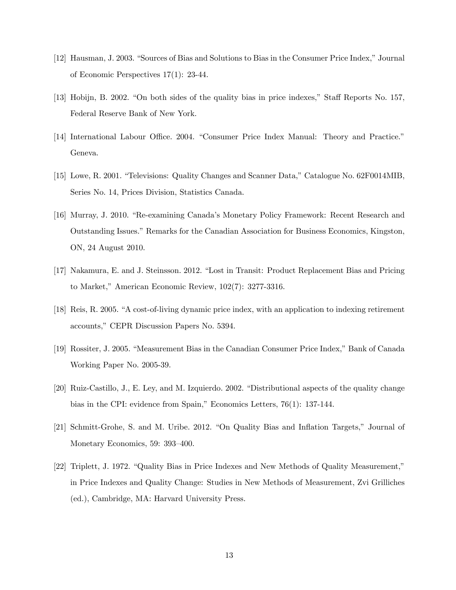- [12] Hausman, J. 2003. "Sources of Bias and Solutions to Bias in the Consumer Price Index," Journal of Economic Perspectives 17(1): 23-44.
- [13] Hobijn, B. 2002. "On both sides of the quality bias in price indexes," Staff Reports No. 157, Federal Reserve Bank of New York.
- [14] International Labour Office. 2004. "Consumer Price Index Manual: Theory and Practice." Geneva.
- [15] Lowe, R. 2001. "Televisions: Quality Changes and Scanner Data," Catalogue No. 62F0014MIB, Series No. 14, Prices Division, Statistics Canada.
- [16] Murray, J. 2010. "Re-examining Canada's Monetary Policy Framework: Recent Research and Outstanding Issues." Remarks for the Canadian Association for Business Economics, Kingston, ON, 24 August 2010.
- [17] Nakamura, E. and J. Steinsson. 2012. "Lost in Transit: Product Replacement Bias and Pricing to Market," American Economic Review,  $102(7)$ : 3277-3316.
- [18] Reis, R. 2005. "A cost-of-living dynamic price index, with an application to indexing retirement accounts," CEPR Discussion Papers No. 5394.
- [19] Rossiter, J. 2005. "Measurement Bias in the Canadian Consumer Price Index," Bank of Canada Working Paper No. 2005-39.
- [20] Ruiz-Castillo, J., E. Ley, and M. Izquierdo. 2002. "Distributional aspects of the quality change bias in the CPI: evidence from Spain," Economics Letters,  $76(1)$ : 137-144.
- [21] Schmitt-Grohe, S. and M. Uribe. 2012. "On Quality Bias and Inflation Targets," Journal of Monetary Economics, 59: 393-400.
- [22] Triplett, J. 1972. "Quality Bias in Price Indexes and New Methods of Quality Measurement," in Price Indexes and Quality Change: Studies in New Methods of Measurement, Zvi Grilliches (ed.), Cambridge, MA: Harvard University Press.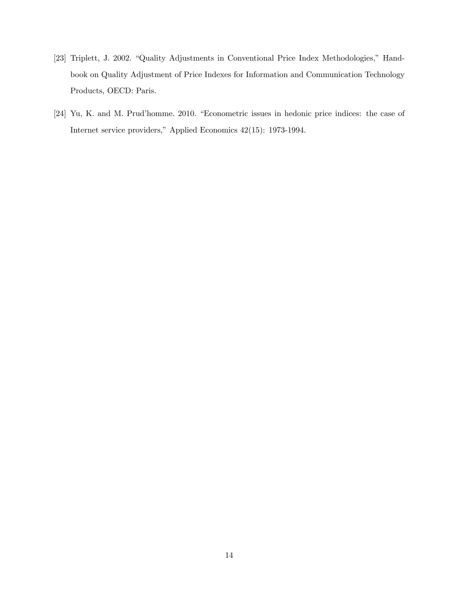- [23] Triplett, J. 2002. "Quality Adjustments in Conventional Price Index Methodologies," Handbook on Quality Adjustment of Price Indexes for Information and Communication Technology Products, OECD: Paris.
- [24] Yu, K. and M. Prud'homme. 2010. "Econometric issues in hedonic price indices: the case of Internet service providers," Applied Economics 42(15): 1973-1994.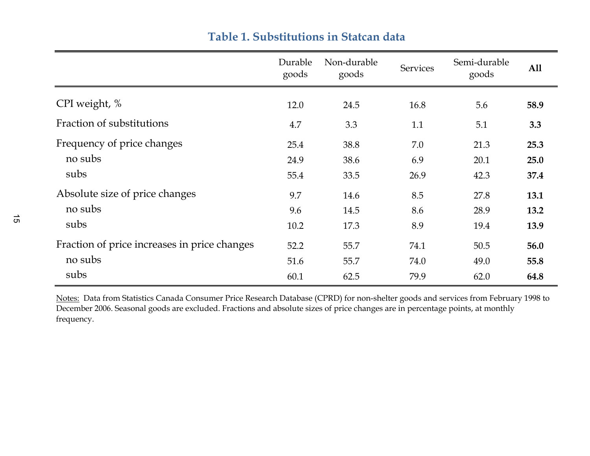|                                              | Durable<br>goods | Non-durable<br>goods | <b>Services</b> | Semi-durable<br>goods | A11  |
|----------------------------------------------|------------------|----------------------|-----------------|-----------------------|------|
| CPI weight, %                                | 12.0             | 24.5                 | 16.8            | 5.6                   | 58.9 |
| Fraction of substitutions                    | 4.7              | 3.3                  | 1.1             | 5.1                   | 3.3  |
| Frequency of price changes                   | 25.4             | 38.8                 | 7.0             | 21.3                  | 25.3 |
| no subs                                      | 24.9             | 38.6                 | 6.9             | 20.1                  | 25.0 |
| subs                                         | 55.4             | 33.5                 | 26.9            | 42.3                  | 37.4 |
| Absolute size of price changes               | 9.7              | 14.6                 | 8.5             | 27.8                  | 13.1 |
| no subs                                      | 9.6              | 14.5                 | 8.6             | 28.9                  | 13.2 |
| subs                                         | 10.2             | 17.3                 | 8.9             | 19.4                  | 13.9 |
| Fraction of price increases in price changes | 52.2             | 55.7                 | 74.1            | 50.5                  | 56.0 |
| no subs                                      | 51.6             | 55.7                 | 74.0            | 49.0                  | 55.8 |
| subs                                         | 60.1             | 62.5                 | 79.9            | 62.0                  | 64.8 |

### **Table 1. Substitutions in Statcan data**

Notes: Data from Statistics Canada Consumer Price Research Database (CPRD) for non-shelter goods and services from February 1998 to December 2006. Seasonal goods are excluded. Fractions and absolute sizes of price changes are in percentage points, at monthly frequency.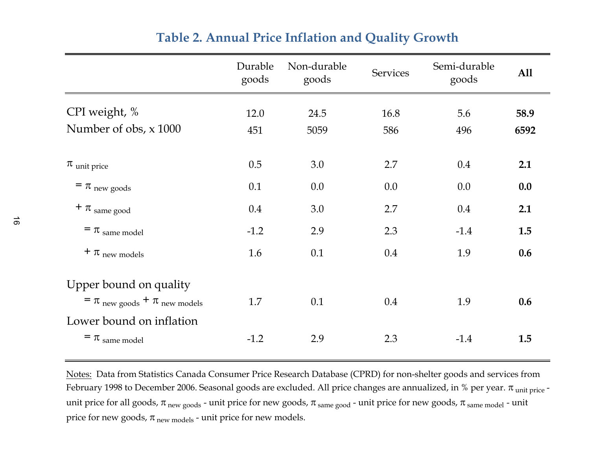|                                          | Durable<br>goods | Non-durable<br>goods | <b>Services</b> | Semi-durable<br>goods | A11  |
|------------------------------------------|------------------|----------------------|-----------------|-----------------------|------|
| CPI weight, %                            | 12.0             | 24.5                 | 16.8            | 5.6                   | 58.9 |
| Number of obs, x 1000                    | 451              | 5059                 | 586             | 496                   | 6592 |
| $\pi$ unit price                         | 0.5              | 3.0                  | 2.7             | 0.4                   | 2.1  |
| $=$ $\pi$ new goods                      | 0.1              | 0.0                  | 0.0             | 0.0                   | 0.0  |
| $+ \pi$ same good                        | 0.4              | 3.0                  | 2.7             | 0.4                   | 2.1  |
| $=$ $\pi$ same model                     | $-1.2$           | 2.9                  | 2.3             | $-1.4$                | 1.5  |
| $+ \pi$ new models                       | 1.6              | 0.1                  | 0.4             | 1.9                   | 0.6  |
| Upper bound on quality                   |                  |                      |                 |                       |      |
| $=$ $\pi$ new goods $+$ $\pi$ new models | 1.7              | 0.1                  | 0.4             | 1.9                   | 0.6  |
| Lower bound on inflation                 |                  |                      |                 |                       |      |
| $=$ $\pi$ same model                     | $-1.2$           | 2.9                  | 2.3             | $-1.4$                | 1.5  |

## **Table 2. Annual Price Inflation and Quality Growth**

Notes: Data from Statistics Canada Consumer Price Research Database (CPRD) for non-shelter goods and services from February 1998 to December 2006. Seasonal goods are excluded. All price changes are annualized, in % per year.  $\pi$ <sub>unit price</sub> unit price for all goods,  $\pi_{new\ goods}$  - unit price for new goods,  $\pi_{same\ good}$  - unit price for new goods,  $\pi_{same\ model}$  - unit price for new goods,  $\pi_{new \text{ models}}$  - unit price for new models.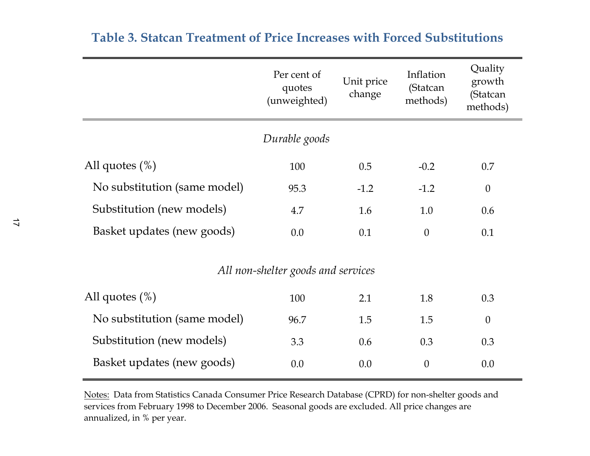|                                    | Per cent of<br>quotes<br>(unweighted) | Unit price<br>change | Inflation<br>(Statcan<br>methods) | Quality<br>growth<br>(Statcan<br>methods) |  |  |  |
|------------------------------------|---------------------------------------|----------------------|-----------------------------------|-------------------------------------------|--|--|--|
|                                    | Durable goods                         |                      |                                   |                                           |  |  |  |
| All quotes $(\%)$                  | 100                                   | 0.5                  | $-0.2$                            | 0.7                                       |  |  |  |
| No substitution (same model)       | 95.3                                  | $-1.2$               | $-1.2$                            | $\theta$                                  |  |  |  |
| Substitution (new models)          | 4.7                                   | 1.6                  | 1.0                               | 0.6                                       |  |  |  |
| Basket updates (new goods)         | 0.0                                   | 0.1                  | $\theta$                          | 0.1                                       |  |  |  |
| All non-shelter goods and services |                                       |                      |                                   |                                           |  |  |  |
| All quotes $(\%)$                  | 100                                   | 2.1                  | 1.8                               | 0.3                                       |  |  |  |
| No substitution (same model)       | 96.7                                  | 1.5                  | 1.5                               | $\theta$                                  |  |  |  |
| Substitution (new models)          | 3.3                                   | 0.6                  | 0.3                               | 0.3                                       |  |  |  |
| Basket updates (new goods)         | 0.0                                   | 0.0                  | $\theta$                          | 0.0                                       |  |  |  |

## **Table 3. Statcan Treatment of Price Increases with Forced Substitutions**

Notes: Data from Statistics Canada Consumer Price Research Database (CPRD) for non-shelter goods and services from February 1998 to December 2006. Seasonal goods are excluded. All price changes are annualized, in % per year.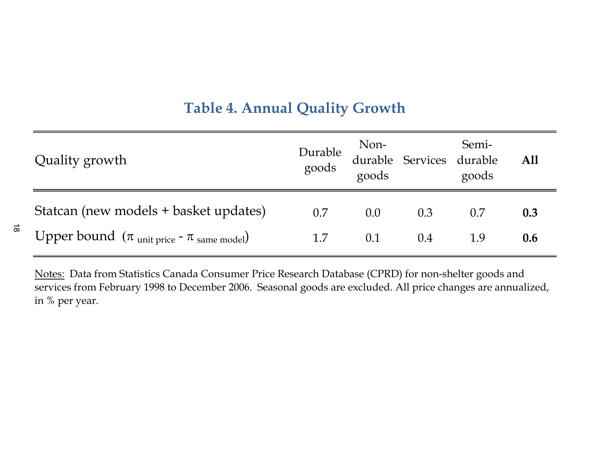# **Table 4. Annual Quality Growth**

| Quality growth                                                    |     |     |     | Durable Non-<br>Semi-<br>goods durable All<br>goods goods and goods |     |
|-------------------------------------------------------------------|-----|-----|-----|---------------------------------------------------------------------|-----|
| Statcan (new models + basket updates)                             | 0.7 | 0.0 | 0.3 | 0.7                                                                 | 0.3 |
| Upper bound $(\pi_{\text{unit price}} - \pi_{\text{same model}})$ | 1.7 | 0.1 | 0.4 |                                                                     | 0.6 |

 $\vec{\infty}$ 

Notes: Data from Statistics Canada Consumer Price Research Database (CPRD) for non-shelter goods and services from February 1998 to December 2006. Seasonal goods are excluded. All price changes are annualized, in % per year.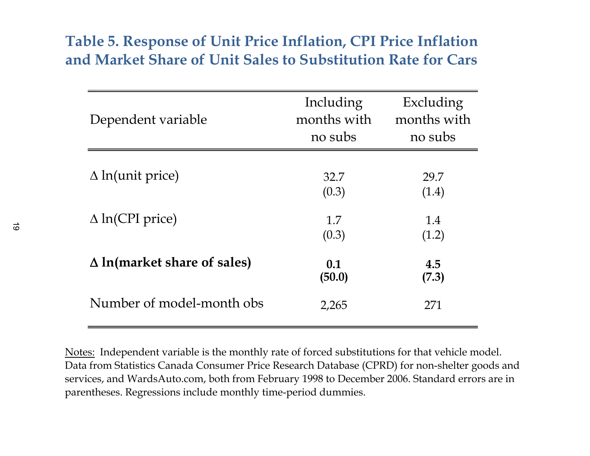# **Table 5. Response of Unit Price Inflation, CPI Price Inflation and Market Share of Unit Sales to Substitution Rate for Cars**

| Dependent variable                 | Including<br>months with<br>no subs | Excluding<br>months with<br>no subs |
|------------------------------------|-------------------------------------|-------------------------------------|
| $\Delta$ ln(unit price)            | 32.7<br>(0.3)                       | 29.7<br>(1.4)                       |
| $\Delta$ ln(CPI price)             | 1.7<br>(0.3)                        | 1.4<br>(1.2)                        |
| $\Delta$ ln(market share of sales) | 0.1<br>(50.0)                       | 4.5<br>(7.3)                        |
| Number of model-month obs          | 2,265                               | 271                                 |

Notes: Independent variable is the monthly rate of forced substitutions for that vehicle model. Data from Statistics Canada Consumer Price Research Database (CPRD) for non-shelter goods and services, and WardsAuto.com, both from February 1998 to December 2006. Standard errors are in parentheses. Regressions include monthly time-period dummies.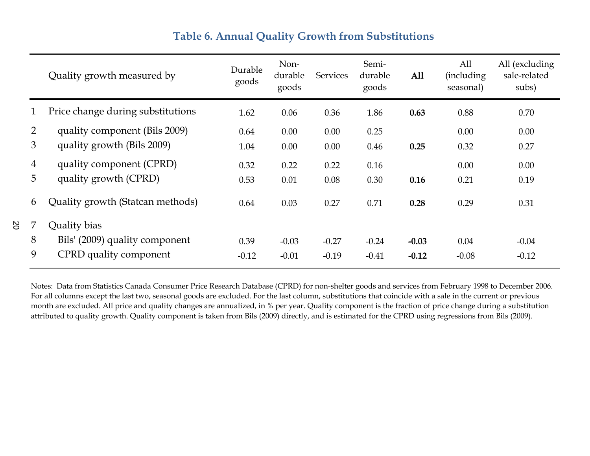## **Table 6. Annual Quality Growth from Substitutions**

|                | Quality growth measured by        | Durable<br>goods | Non-<br>durable<br>goods | <b>Services</b> | Semi-<br>durable<br>goods | All     | All<br>(including)<br>seasonal) | All (excluding<br>sale-related<br>subs) |
|----------------|-----------------------------------|------------------|--------------------------|-----------------|---------------------------|---------|---------------------------------|-----------------------------------------|
|                | Price change during substitutions | 1.62             | 0.06                     | 0.36            | 1.86                      | 0.63    | 0.88                            | 0.70                                    |
| $\overline{2}$ | quality component (Bils 2009)     | 0.64             | 0.00                     | 0.00            | 0.25                      |         | 0.00                            | 0.00                                    |
| 3              | quality growth (Bils 2009)        | 1.04             | 0.00                     | 0.00            | 0.46                      | 0.25    | 0.32                            | 0.27                                    |
| 4              | quality component (CPRD)          | 0.32             | 0.22                     | 0.22            | 0.16                      |         | 0.00                            | 0.00                                    |
| 5              | quality growth (CPRD)             | 0.53             | 0.01                     | 0.08            | 0.30                      | 0.16    | 0.21                            | 0.19                                    |
| 6              | Quality growth (Statcan methods)  | 0.64             | 0.03                     | 0.27            | 0.71                      | 0.28    | 0.29                            | 0.31                                    |
|                | Quality bias                      |                  |                          |                 |                           |         |                                 |                                         |
| 8              | Bils' (2009) quality component    | 0.39             | $-0.03$                  | $-0.27$         | $-0.24$                   | $-0.03$ | 0.04                            | $-0.04$                                 |
| 9              | CPRD quality component            | $-0.12$          | $-0.01$                  | $-0.19$         | $-0.41$                   | $-0.12$ | $-0.08$                         | $-0.12$                                 |

Notes: Data from Statistics Canada Consumer Price Research Database (CPRD) for non-shelter goods and services from February 1998 to December 2006. For all columns except the last two, seasonal goods are excluded. For the last column, substitutions that coincide with a sale in the current or previous month are excluded. All price and quality changes are annualized, in % per year. Quality component is the fraction of price change during a substitution attributed to quality growth. Quality component is taken from Bils (2009) directly, and is estimated for the CPRD using regressions from Bils (2009).